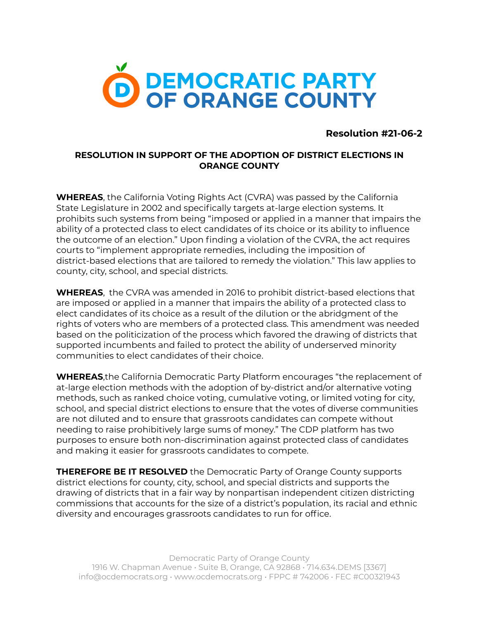

## **Resolution #21-06-2**

## **RESOLUTION IN SUPPORT OF THE ADOPTION OF DISTRICT ELECTIONS IN ORANGE COUNTY**

**WHEREAS**, the California Voting Rights Act (CVRA) was passed by the California State Legislature in 2002 and specifically targets at-large election systems. It prohibits such systems from being "imposed or applied in a manner that impairs the ability of a protected class to elect candidates of its choice or its ability to influence the outcome of an election." Upon finding a violation of the CVRA, the act requires courts to "implement appropriate remedies, including the imposition of district-based elections that are tailored to remedy the violation." This law applies to county, city, school, and special districts.

**WHEREAS**, the CVRA was amended in 2016 to prohibit district-based elections that are imposed or applied in a manner that impairs the ability of a protected class to elect candidates of its choice as a result of the dilution or the abridgment of the rights of voters who are members of a protected class. This amendment was needed based on the politicization of the process which favored the drawing of districts that supported incumbents and failed to protect the ability of underserved minority communities to elect candidates of their choice.

**WHEREAS**,the California Democratic Party Platform encourages "the replacement of at-large election methods with the adoption of by-district and/or alternative voting methods, such as ranked choice voting, cumulative voting, or limited voting for city, school, and special district elections to ensure that the votes of diverse communities are not diluted and to ensure that grassroots candidates can compete without needing to raise prohibitively large sums of money." The CDP platform has two purposes to ensure both non-discrimination against protected class of candidates and making it easier for grassroots candidates to compete.

**THEREFORE BE IT RESOLVED** the Democratic Party of Orange County supports district elections for county, city, school, and special districts and supports the drawing of districts that in a fair way by nonpartisan independent citizen districting commissions that accounts for the size of a district's population, its racial and ethnic diversity and encourages grassroots candidates to run for office.